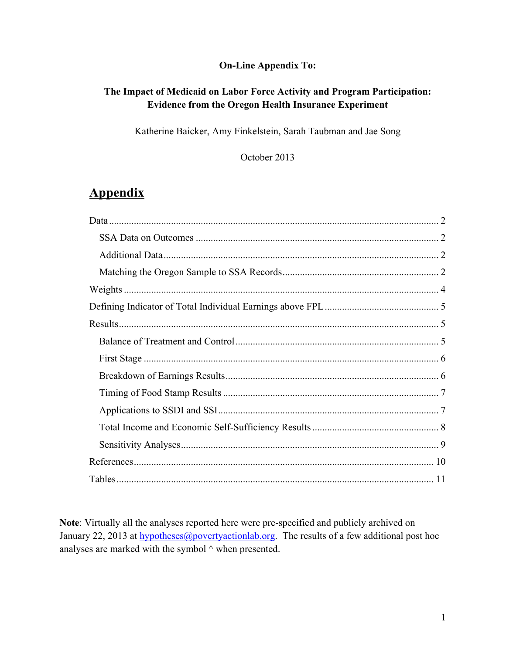### **On-Line Appendix To:**

### **The Impact of Medicaid on Labor Force Activity and Program Participation: Evidence from the Oregon Health Insurance Experiment**

Katherine Baicker, Amy Finkelstein, Sarah Taubman and Jae Song

October 2013

# **Appendix**

**Note**: Virtually all the analyses reported here were pre-specified and publicly archived on January 22, 2013 at hypotheses@povertyactionlab.org. The results of a few additional post hoc analyses are marked with the symbol ^ when presented.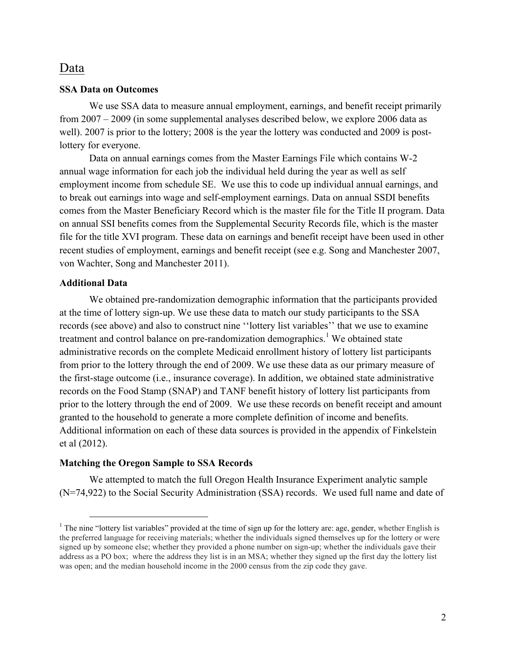### Data

#### **SSA Data on Outcomes**

We use SSA data to measure annual employment, earnings, and benefit receipt primarily from 2007 – 2009 (in some supplemental analyses described below, we explore 2006 data as well). 2007 is prior to the lottery; 2008 is the year the lottery was conducted and 2009 is postlottery for everyone.

Data on annual earnings comes from the Master Earnings File which contains W-2 annual wage information for each job the individual held during the year as well as self employment income from schedule SE. We use this to code up individual annual earnings, and to break out earnings into wage and self-employment earnings. Data on annual SSDI benefits comes from the Master Beneficiary Record which is the master file for the Title II program. Data on annual SSI benefits comes from the Supplemental Security Records file, which is the master file for the title XVI program. These data on earnings and benefit receipt have been used in other recent studies of employment, earnings and benefit receipt (see e.g. Song and Manchester 2007, von Wachter, Song and Manchester 2011).

#### **Additional Data**

We obtained pre-randomization demographic information that the participants provided at the time of lottery sign-up. We use these data to match our study participants to the SSA records (see above) and also to construct nine ''lottery list variables'' that we use to examine treatment and control balance on pre-randomization demographics.<sup>1</sup> We obtained state administrative records on the complete Medicaid enrollment history of lottery list participants from prior to the lottery through the end of 2009. We use these data as our primary measure of the first-stage outcome (i.e., insurance coverage). In addition, we obtained state administrative records on the Food Stamp (SNAP) and TANF benefit history of lottery list participants from prior to the lottery through the end of 2009. We use these records on benefit receipt and amount granted to the household to generate a more complete definition of income and benefits. Additional information on each of these data sources is provided in the appendix of Finkelstein et al (2012).

#### **Matching the Oregon Sample to SSA Records**

We attempted to match the full Oregon Health Insurance Experiment analytic sample (N=74,922) to the Social Security Administration (SSA) records. We used full name and date of

<sup>&</sup>lt;sup>1</sup> The nine "lottery list variables" provided at the time of sign up for the lottery are: age, gender, whether English is the preferred language for receiving materials; whether the individuals signed themselves up for the lottery or were signed up by someone else; whether they provided a phone number on sign-up; whether the individuals gave their address as a PO box; where the address they list is in an MSA; whether they signed up the first day the lottery list was open; and the median household income in the 2000 census from the zip code they gave.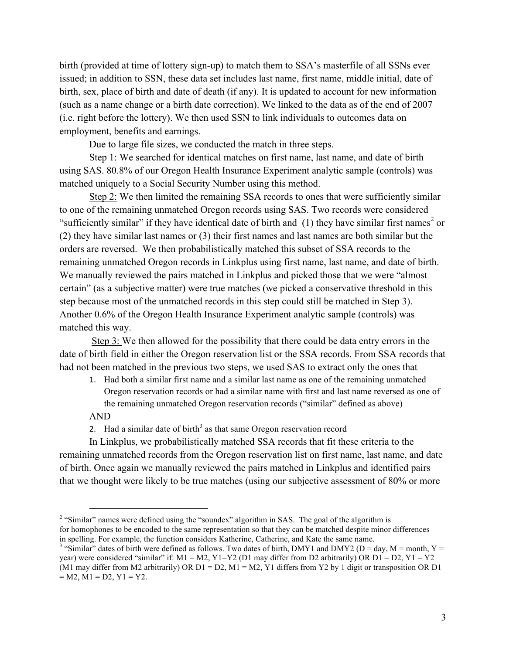birth (provided at time of lottery sign-up) to match them to SSA's masterfile of all SSNs ever issued; in addition to SSN, these data set includes last name, first name, middle initial, date of birth, sex, place of birth and date of death (if any). It is updated to account for new information (such as a name change or a birth date correction). We linked to the data as of the end of 2007 (i.e. right before the lottery). We then used SSN to link individuals to outcomes data on employment, benefits and earnings.

Due to large file sizes, we conducted the match in three steps.

Step 1: We searched for identical matches on first name, last name, and date of birth using SAS. 80.8% of our Oregon Health Insurance Experiment analytic sample (controls) was matched uniquely to a Social Security Number using this method.

Step 2: We then limited the remaining SSA records to ones that were sufficiently similar to one of the remaining unmatched Oregon records using SAS. Two records were considered "sufficiently similar" if they have identical date of birth and  $(1)$  they have similar first names<sup>2</sup> or (2) they have similar last names or (3) their first names and last names are both similar but the orders are reversed. We then probabilistically matched this subset of SSA records to the remaining unmatched Oregon records in Linkplus using first name, last name, and date of birth. We manually reviewed the pairs matched in Linkplus and picked those that we were "almost certain" (as a subjective matter) were true matches (we picked a conservative threshold in this step because most of the unmatched records in this step could still be matched in Step 3). Another 0.6% of the Oregon Health Insurance Experiment analytic sample (controls) was matched this way.

Step 3: We then allowed for the possibility that there could be data entry errors in the date of birth field in either the Oregon reservation list or the SSA records. From SSA records that had not been matched in the previous two steps, we used SAS to extract only the ones that

- 1. Had both a similar first name and a similar last name as one of the remaining unmatched Oregon reservation records or had a similar name with first and last name reversed as one of the remaining unmatched Oregon reservation records ("similar" defined as above) AND
- 2. Had a similar date of birth<sup>3</sup> as that same Oregon reservation record

In Linkplus, we probabilistically matched SSA records that fit these criteria to the remaining unmatched records from the Oregon reservation list on first name, last name, and date of birth. Once again we manually reviewed the pairs matched in Linkplus and identified pairs that we thought were likely to be true matches (using our subjective assessment of 80% or more

<sup>&</sup>lt;sup>2</sup> "Similar" names were defined using the "soundex" algorithm in SAS. The goal of the algorithm is for homophones to be encoded to the same representation so that they can be matched despite minor differences in spelling. For example, the function considers Katherine, Catherine, and Kate the same name.<br><sup>3</sup> "Similar" dates of birth were defined as follows. Two dates of birth, DMY1 and DMY2 (D = day, M = month, Y =

year) were considered "similar" if:  $M1 = M2$ ,  $Y1 = Y2$  (D1 may differ from D2 arbitrarily) OR D1 = D2,  $Y1 = Y2$ (M1 may differ from M2 arbitrarily) OR  $D1 = D2$ ,  $M1 = M2$ , Y1 differs from Y2 by 1 digit or transposition OR D1  $= M2$ ,  $M1 = D2$ ,  $Y1 = Y2$ .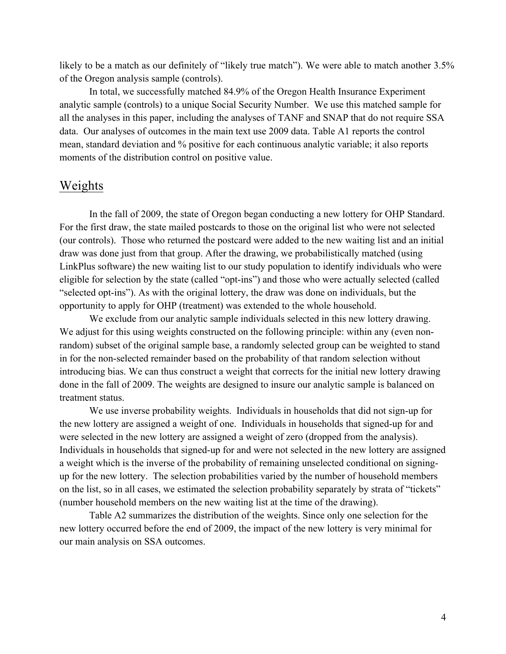likely to be a match as our definitely of "likely true match"). We were able to match another 3.5% of the Oregon analysis sample (controls).

In total, we successfully matched 84.9% of the Oregon Health Insurance Experiment analytic sample (controls) to a unique Social Security Number. We use this matched sample for all the analyses in this paper, including the analyses of TANF and SNAP that do not require SSA data. Our analyses of outcomes in the main text use 2009 data. Table A1 reports the control mean, standard deviation and % positive for each continuous analytic variable; it also reports moments of the distribution control on positive value.

## Weights

In the fall of 2009, the state of Oregon began conducting a new lottery for OHP Standard. For the first draw, the state mailed postcards to those on the original list who were not selected (our controls). Those who returned the postcard were added to the new waiting list and an initial draw was done just from that group. After the drawing, we probabilistically matched (using LinkPlus software) the new waiting list to our study population to identify individuals who were eligible for selection by the state (called "opt-ins") and those who were actually selected (called "selected opt-ins"). As with the original lottery, the draw was done on individuals, but the opportunity to apply for OHP (treatment) was extended to the whole household.

We exclude from our analytic sample individuals selected in this new lottery drawing. We adjust for this using weights constructed on the following principle: within any (even nonrandom) subset of the original sample base, a randomly selected group can be weighted to stand in for the non-selected remainder based on the probability of that random selection without introducing bias. We can thus construct a weight that corrects for the initial new lottery drawing done in the fall of 2009. The weights are designed to insure our analytic sample is balanced on treatment status.

We use inverse probability weights. Individuals in households that did not sign-up for the new lottery are assigned a weight of one. Individuals in households that signed-up for and were selected in the new lottery are assigned a weight of zero (dropped from the analysis). Individuals in households that signed-up for and were not selected in the new lottery are assigned a weight which is the inverse of the probability of remaining unselected conditional on signingup for the new lottery. The selection probabilities varied by the number of household members on the list, so in all cases, we estimated the selection probability separately by strata of "tickets" (number household members on the new waiting list at the time of the drawing).

Table A2 summarizes the distribution of the weights. Since only one selection for the new lottery occurred before the end of 2009, the impact of the new lottery is very minimal for our main analysis on SSA outcomes.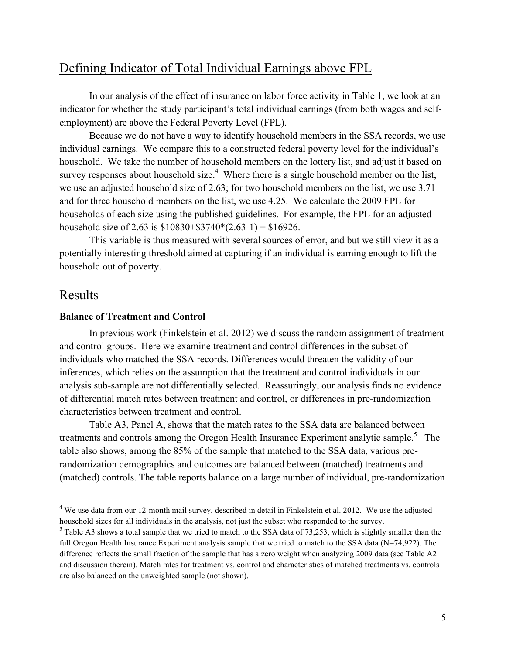# Defining Indicator of Total Individual Earnings above FPL

In our analysis of the effect of insurance on labor force activity in Table 1, we look at an indicator for whether the study participant's total individual earnings (from both wages and selfemployment) are above the Federal Poverty Level (FPL).

Because we do not have a way to identify household members in the SSA records, we use individual earnings. We compare this to a constructed federal poverty level for the individual's household. We take the number of household members on the lottery list, and adjust it based on survey responses about household size.<sup>4</sup> Where there is a single household member on the list, we use an adjusted household size of 2.63; for two household members on the list, we use 3.71 and for three household members on the list, we use 4.25. We calculate the 2009 FPL for households of each size using the published guidelines. For example, the FPL for an adjusted household size of 2.63 is  $$10830 + $3740*(2.63-1) = $16926$ .

This variable is thus measured with several sources of error, and but we still view it as a potentially interesting threshold aimed at capturing if an individual is earning enough to lift the household out of poverty.

### Results

#### **Balance of Treatment and Control**

In previous work (Finkelstein et al. 2012) we discuss the random assignment of treatment and control groups. Here we examine treatment and control differences in the subset of individuals who matched the SSA records. Differences would threaten the validity of our inferences, which relies on the assumption that the treatment and control individuals in our analysis sub-sample are not differentially selected. Reassuringly, our analysis finds no evidence of differential match rates between treatment and control, or differences in pre-randomization characteristics between treatment and control.

Table A3, Panel A, shows that the match rates to the SSA data are balanced between treatments and controls among the Oregon Health Insurance Experiment analytic sample.<sup>5</sup> The table also shows, among the 85% of the sample that matched to the SSA data, various prerandomization demographics and outcomes are balanced between (matched) treatments and (matched) controls. The table reports balance on a large number of individual, pre-randomization

<sup>&</sup>lt;sup>4</sup> We use data from our 12-month mail survey, described in detail in Finkelstein et al. 2012. We use the adjusted household sizes for all individuals in the analysis, not just the subset who responded to the survey.

 $5$  Table A3 shows a total sample that we tried to match to the SSA data of 73,253, which is slightly smaller than the full Oregon Health Insurance Experiment analysis sample that we tried to match to the SSA data (N=74,922). The difference reflects the small fraction of the sample that has a zero weight when analyzing 2009 data (see Table A2 and discussion therein). Match rates for treatment vs. control and characteristics of matched treatments vs. controls are also balanced on the unweighted sample (not shown).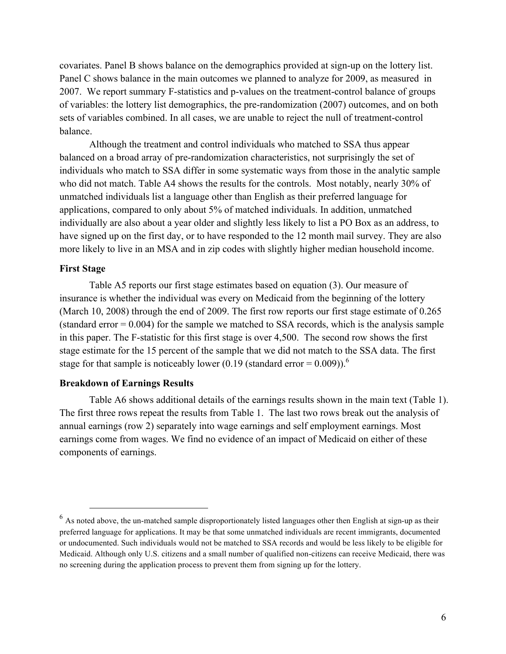covariates. Panel B shows balance on the demographics provided at sign-up on the lottery list. Panel C shows balance in the main outcomes we planned to analyze for 2009, as measured in 2007. We report summary F-statistics and p-values on the treatment-control balance of groups of variables: the lottery list demographics, the pre-randomization (2007) outcomes, and on both sets of variables combined. In all cases, we are unable to reject the null of treatment-control balance.

Although the treatment and control individuals who matched to SSA thus appear balanced on a broad array of pre-randomization characteristics, not surprisingly the set of individuals who match to SSA differ in some systematic ways from those in the analytic sample who did not match. Table A4 shows the results for the controls. Most notably, nearly 30% of unmatched individuals list a language other than English as their preferred language for applications, compared to only about 5% of matched individuals. In addition, unmatched individually are also about a year older and slightly less likely to list a PO Box as an address, to have signed up on the first day, or to have responded to the 12 month mail survey. They are also more likely to live in an MSA and in zip codes with slightly higher median household income.

#### **First Stage**

Table A5 reports our first stage estimates based on equation (3). Our measure of insurance is whether the individual was every on Medicaid from the beginning of the lottery (March 10, 2008) through the end of 2009. The first row reports our first stage estimate of 0.265 (standard error  $= 0.004$ ) for the sample we matched to SSA records, which is the analysis sample in this paper. The F-statistic for this first stage is over 4,500. The second row shows the first stage estimate for the 15 percent of the sample that we did not match to the SSA data. The first stage for that sample is noticeably lower (0.19 (standard error =  $0.009$ )).<sup>6</sup>

#### **Breakdown of Earnings Results**

Table A6 shows additional details of the earnings results shown in the main text (Table 1). The first three rows repeat the results from Table 1. The last two rows break out the analysis of annual earnings (row 2) separately into wage earnings and self employment earnings. Most earnings come from wages. We find no evidence of an impact of Medicaid on either of these components of earnings.

<sup>&</sup>lt;sup>6</sup> As noted above, the un-matched sample disproportionately listed languages other then English at sign-up as their preferred language for applications. It may be that some unmatched individuals are recent immigrants, documented or undocumented. Such individuals would not be matched to SSA records and would be less likely to be eligible for Medicaid. Although only U.S. citizens and a small number of qualified non-citizens can receive Medicaid, there was no screening during the application process to prevent them from signing up for the lottery.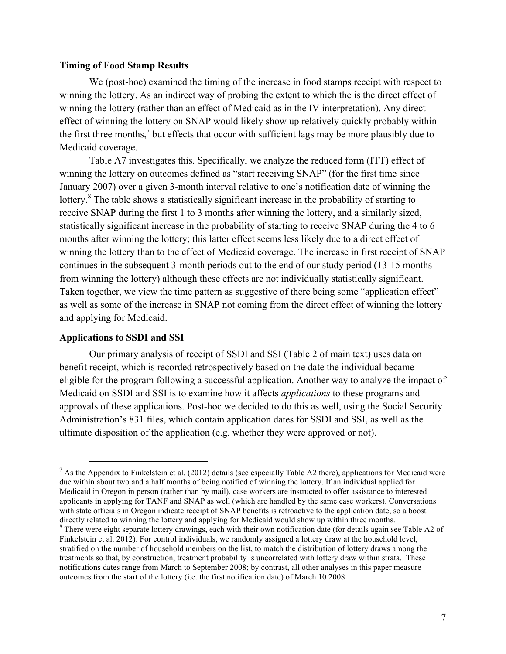#### **Timing of Food Stamp Results**

We (post-hoc) examined the timing of the increase in food stamps receipt with respect to winning the lottery. As an indirect way of probing the extent to which the is the direct effect of winning the lottery (rather than an effect of Medicaid as in the IV interpretation). Any direct effect of winning the lottery on SNAP would likely show up relatively quickly probably within the first three months, $\frac{7}{1}$  but effects that occur with sufficient lags may be more plausibly due to Medicaid coverage.

Table A7 investigates this. Specifically, we analyze the reduced form (ITT) effect of winning the lottery on outcomes defined as "start receiving SNAP" (for the first time since January 2007) over a given 3-month interval relative to one's notification date of winning the lottery.<sup>8</sup> The table shows a statistically significant increase in the probability of starting to receive SNAP during the first 1 to 3 months after winning the lottery, and a similarly sized, statistically significant increase in the probability of starting to receive SNAP during the 4 to 6 months after winning the lottery; this latter effect seems less likely due to a direct effect of winning the lottery than to the effect of Medicaid coverage. The increase in first receipt of SNAP continues in the subsequent 3-month periods out to the end of our study period (13-15 months from winning the lottery) although these effects are not individually statistically significant. Taken together, we view the time pattern as suggestive of there being some "application effect" as well as some of the increase in SNAP not coming from the direct effect of winning the lottery and applying for Medicaid.

#### **Applications to SSDI and SSI**

Our primary analysis of receipt of SSDI and SSI (Table 2 of main text) uses data on benefit receipt, which is recorded retrospectively based on the date the individual became eligible for the program following a successful application. Another way to analyze the impact of Medicaid on SSDI and SSI is to examine how it affects *applications* to these programs and approvals of these applications. Post-hoc we decided to do this as well, using the Social Security Administration's 831 files, which contain application dates for SSDI and SSI, as well as the ultimate disposition of the application (e.g. whether they were approved or not).

 $<sup>7</sup>$  As the Appendix to Finkelstein et al. (2012) details (see especially Table A2 there), applications for Medicaid were</sup> due within about two and a half months of being notified of winning the lottery. If an individual applied for Medicaid in Oregon in person (rather than by mail), case workers are instructed to offer assistance to interested applicants in applying for TANF and SNAP as well (which are handled by the same case workers). Conversations with state officials in Oregon indicate receipt of SNAP benefits is retroactive to the application date, so a boost directly related to winning the lottery and applying for Medicaid would show up within three months.<br><sup>8</sup> There were eight separate lottery drawings, each with their own notification date (for details again see Table A2 of

Finkelstein et al. 2012). For control individuals, we randomly assigned a lottery draw at the household level, stratified on the number of household members on the list, to match the distribution of lottery draws among the treatments so that, by construction, treatment probability is uncorrelated with lottery draw within strata. These notifications dates range from March to September 2008; by contrast, all other analyses in this paper measure outcomes from the start of the lottery (i.e. the first notification date) of March 10 2008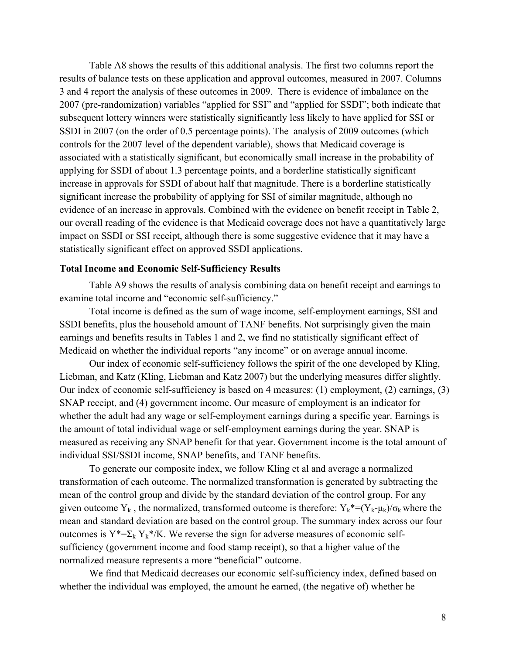Table A8 shows the results of this additional analysis. The first two columns report the results of balance tests on these application and approval outcomes, measured in 2007. Columns 3 and 4 report the analysis of these outcomes in 2009. There is evidence of imbalance on the 2007 (pre-randomization) variables "applied for SSI" and "applied for SSDI"; both indicate that subsequent lottery winners were statistically significantly less likely to have applied for SSI or SSDI in 2007 (on the order of 0.5 percentage points). The analysis of 2009 outcomes (which controls for the 2007 level of the dependent variable), shows that Medicaid coverage is associated with a statistically significant, but economically small increase in the probability of applying for SSDI of about 1.3 percentage points, and a borderline statistically significant increase in approvals for SSDI of about half that magnitude. There is a borderline statistically significant increase the probability of applying for SSI of similar magnitude, although no evidence of an increase in approvals. Combined with the evidence on benefit receipt in Table 2, our overall reading of the evidence is that Medicaid coverage does not have a quantitatively large impact on SSDI or SSI receipt, although there is some suggestive evidence that it may have a statistically significant effect on approved SSDI applications.

#### **Total Income and Economic Self-Sufficiency Results**

Table A9 shows the results of analysis combining data on benefit receipt and earnings to examine total income and "economic self-sufficiency."

Total income is defined as the sum of wage income, self-employment earnings, SSI and SSDI benefits, plus the household amount of TANF benefits. Not surprisingly given the main earnings and benefits results in Tables 1 and 2, we find no statistically significant effect of Medicaid on whether the individual reports "any income" or on average annual income.

Our index of economic self-sufficiency follows the spirit of the one developed by Kling, Liebman, and Katz (Kling, Liebman and Katz 2007) but the underlying measures differ slightly. Our index of economic self-sufficiency is based on 4 measures: (1) employment, (2) earnings, (3) SNAP receipt, and (4) government income. Our measure of employment is an indicator for whether the adult had any wage or self-employment earnings during a specific year. Earnings is the amount of total individual wage or self-employment earnings during the year. SNAP is measured as receiving any SNAP benefit for that year. Government income is the total amount of individual SSI/SSDI income, SNAP benefits, and TANF benefits.

To generate our composite index, we follow Kling et al and average a normalized transformation of each outcome. The normalized transformation is generated by subtracting the mean of the control group and divide by the standard deviation of the control group. For any given outcome Y<sub>k</sub>, the normalized, transformed outcome is therefore:  $Y_k^*=(Y_k-\mu_k)/\sigma_k$  where the mean and standard deviation are based on the control group. The summary index across our four outcomes is  $Y^*=\Sigma_k Y_k^* / K$ . We reverse the sign for adverse measures of economic selfsufficiency (government income and food stamp receipt), so that a higher value of the normalized measure represents a more "beneficial" outcome.

We find that Medicaid decreases our economic self-sufficiency index, defined based on whether the individual was employed, the amount he earned, (the negative of) whether he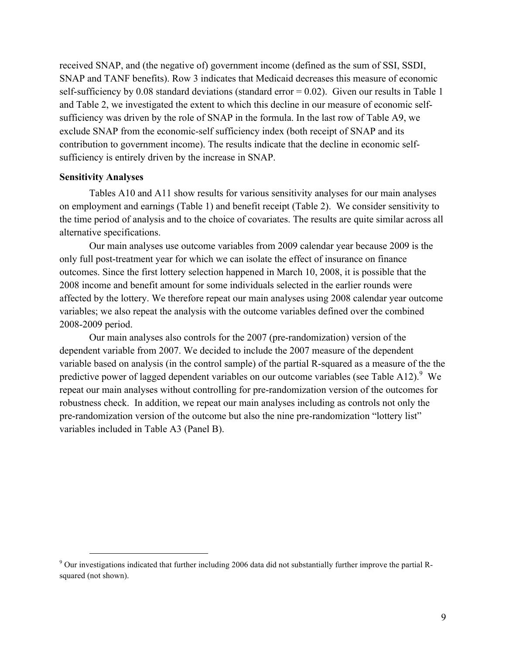received SNAP, and (the negative of) government income (defined as the sum of SSI, SSDI, SNAP and TANF benefits). Row 3 indicates that Medicaid decreases this measure of economic self-sufficiency by 0.08 standard deviations (standard error  $= 0.02$ ). Given our results in Table 1 and Table 2, we investigated the extent to which this decline in our measure of economic selfsufficiency was driven by the role of SNAP in the formula. In the last row of Table A9, we exclude SNAP from the economic-self sufficiency index (both receipt of SNAP and its contribution to government income). The results indicate that the decline in economic selfsufficiency is entirely driven by the increase in SNAP.

#### **Sensitivity Analyses**

Tables A10 and A11 show results for various sensitivity analyses for our main analyses on employment and earnings (Table 1) and benefit receipt (Table 2). We consider sensitivity to the time period of analysis and to the choice of covariates. The results are quite similar across all alternative specifications.

Our main analyses use outcome variables from 2009 calendar year because 2009 is the only full post-treatment year for which we can isolate the effect of insurance on finance outcomes. Since the first lottery selection happened in March 10, 2008, it is possible that the 2008 income and benefit amount for some individuals selected in the earlier rounds were affected by the lottery. We therefore repeat our main analyses using 2008 calendar year outcome variables; we also repeat the analysis with the outcome variables defined over the combined 2008-2009 period.

Our main analyses also controls for the 2007 (pre-randomization) version of the dependent variable from 2007. We decided to include the 2007 measure of the dependent variable based on analysis (in the control sample) of the partial R-squared as a measure of the the predictive power of lagged dependent variables on our outcome variables (see Table A12). <sup>9</sup> We repeat our main analyses without controlling for pre-randomization version of the outcomes for robustness check. In addition, we repeat our main analyses including as controls not only the pre-randomization version of the outcome but also the nine pre-randomization "lottery list" variables included in Table A3 (Panel B).

<sup>&</sup>lt;sup>9</sup> Our investigations indicated that further including 2006 data did not substantially further improve the partial Rsquared (not shown).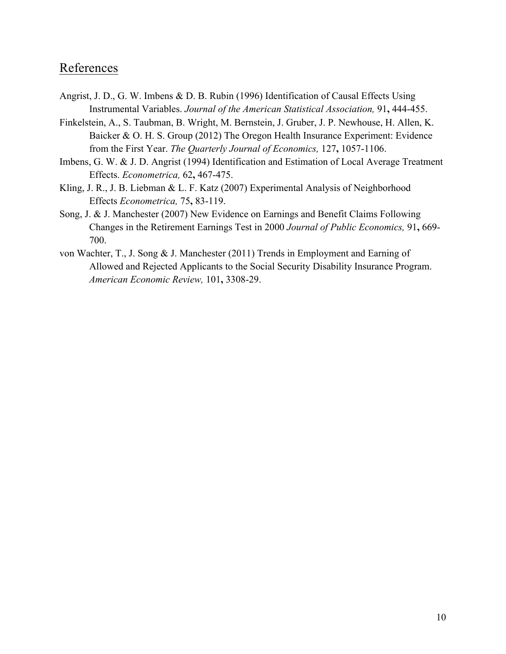# References

- Angrist, J. D., G. W. Imbens & D. B. Rubin (1996) Identification of Causal Effects Using Instrumental Variables. *Journal of the American Statistical Association,* 91**,** 444-455.
- Finkelstein, A., S. Taubman, B. Wright, M. Bernstein, J. Gruber, J. P. Newhouse, H. Allen, K. Baicker & O. H. S. Group (2012) The Oregon Health Insurance Experiment: Evidence from the First Year. *The Quarterly Journal of Economics,* 127**,** 1057-1106.
- Imbens, G. W. & J. D. Angrist (1994) Identification and Estimation of Local Average Treatment Effects. *Econometrica,* 62**,** 467-475.
- Kling, J. R., J. B. Liebman & L. F. Katz (2007) Experimental Analysis of Neighborhood Effects *Econometrica,* 75**,** 83-119.
- Song, J. & J. Manchester (2007) New Evidence on Earnings and Benefit Claims Following Changes in the Retirement Earnings Test in 2000 *Journal of Public Economics,* 91**,** 669- 700.
- von Wachter, T., J. Song & J. Manchester (2011) Trends in Employment and Earning of Allowed and Rejected Applicants to the Social Security Disability Insurance Program. *American Economic Review,* 101**,** 3308-29.